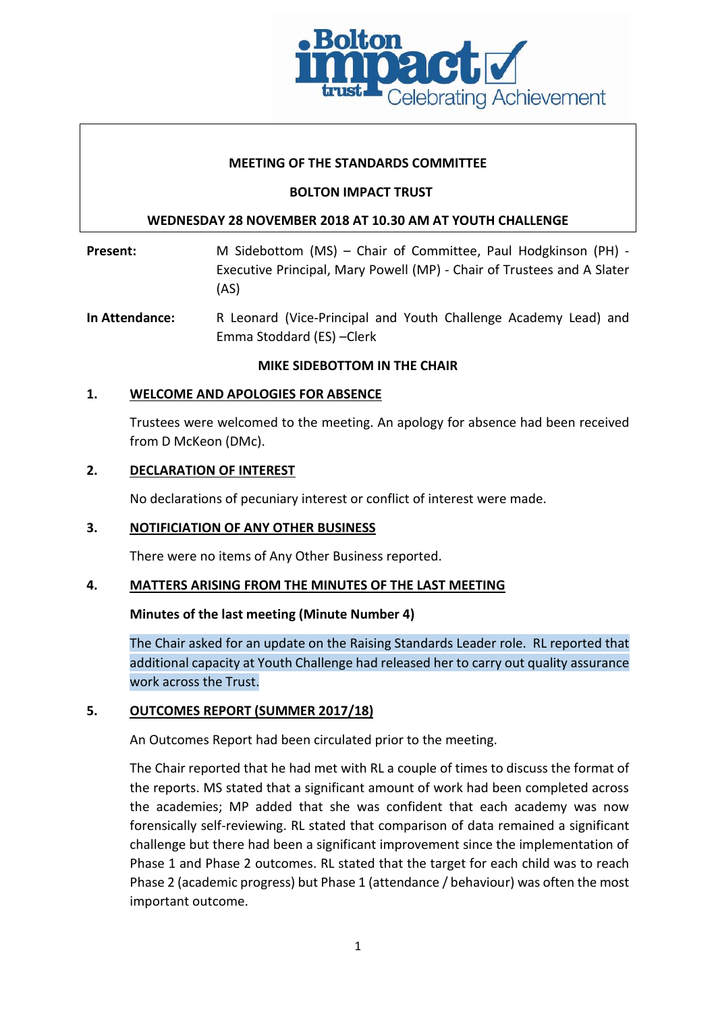

## **MEETING OF THE STANDARDS COMMITTEE**

## **BOLTON IMPACT TRUST**

# **WEDNESDAY 28 NOVEMBER 2018 AT 10.30 AM AT YOUTH CHALLENGE**

Present: M Sidebottom (MS) – Chair of Committee, Paul Hodgkinson (PH) -Executive Principal, Mary Powell (MP) - Chair of Trustees and A Slater (AS)

**In Attendance:** R Leonard (Vice-Principal and Youth Challenge Academy Lead) and Emma Stoddard (ES) –Clerk

#### **MIKE SIDEBOTTOM IN THE CHAIR**

# **1. WELCOME AND APOLOGIES FOR ABSENCE**

Trustees were welcomed to the meeting. An apology for absence had been received from D McKeon (DMc).

#### **2. DECLARATION OF INTEREST**

No declarations of pecuniary interest or conflict of interest were made.

#### **3. NOTIFICIATION OF ANY OTHER BUSINESS**

There were no items of Any Other Business reported.

#### **4. MATTERS ARISING FROM THE MINUTES OF THE LAST MEETING**

#### **Minutes of the last meeting (Minute Number 4)**

The Chair asked for an update on the Raising Standards Leader role. RL reported that additional capacity at Youth Challenge had released her to carry out quality assurance work across the Trust.

#### **5. OUTCOMES REPORT (SUMMER 2017/18)**

An Outcomes Report had been circulated prior to the meeting.

The Chair reported that he had met with RL a couple of times to discuss the format of the reports. MS stated that a significant amount of work had been completed across the academies; MP added that she was confident that each academy was now forensically self-reviewing. RL stated that comparison of data remained a significant challenge but there had been a significant improvement since the implementation of Phase 1 and Phase 2 outcomes. RL stated that the target for each child was to reach Phase 2 (academic progress) but Phase 1 (attendance / behaviour) was often the most important outcome.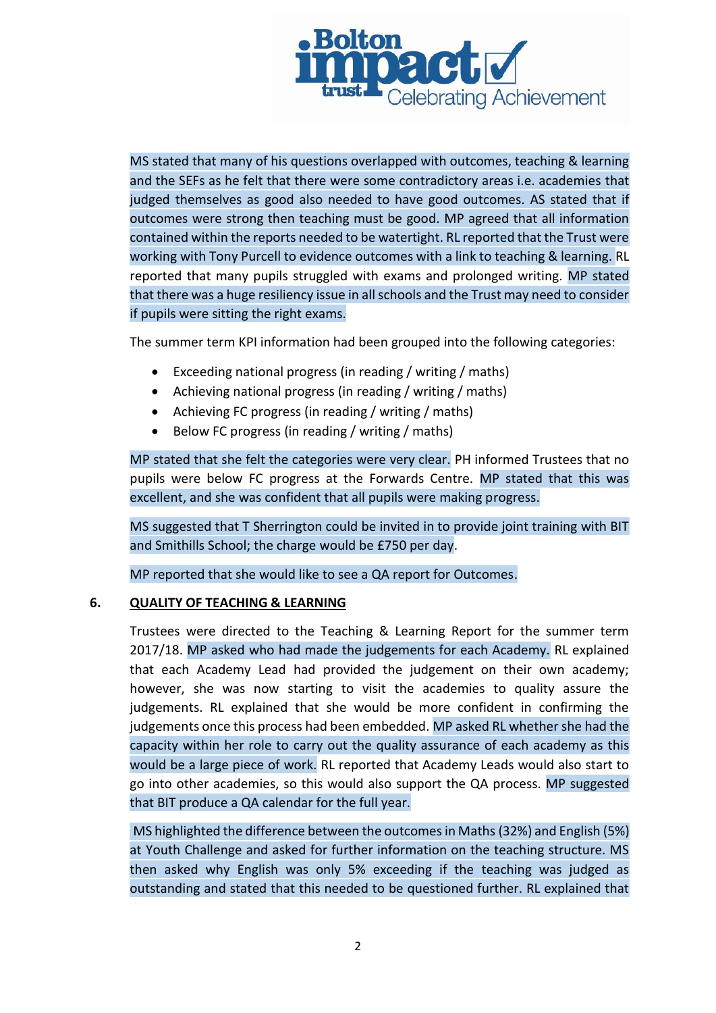

MS stated that many of his questions overlapped with outcomes, teaching & learning and the SEFs as he felt that there were some contradictory areas i.e. academies that judged themselves as good also needed to have good outcomes. AS stated that if outcomes were strong then teaching must be good. MP agreed that all information contained within the reports needed to be watertight. RL reported that the Trust were working with Tony Purcell to evidence outcomes with a link to teaching & learning. RL reported that many pupils struggled with exams and prolonged writing. MP stated that there was a huge resiliency issue in all schools and the Trust may need to consider if pupils were sitting the right exams.

The summer term KPI information had been grouped into the following categories:

- Exceeding national progress (in reading / writing / maths)
- Achieving national progress (in reading / writing / maths)
- Achieving FC progress (in reading / writing / maths)
- Below FC progress (in reading / writing / maths)

MP stated that she felt the categories were very clear. PH informed Trustees that no pupils were below FC progress at the Forwards Centre. MP stated that this was excellent, and she was confident that all pupils were making progress.

MS suggested that T Sherrington could be invited in to provide joint training with BIT and Smithills School; the charge would be £750 per day.

MP reported that she would like to see a QA report for Outcomes.

#### **6. QUALITY OF TEACHING & LEARNING**

Trustees were directed to the Teaching & Learning Report for the summer term 2017/18. MP asked who had made the judgements for each Academy. RL explained that each Academy Lead had provided the judgement on their own academy; however, she was now starting to visit the academies to quality assure the judgements. RL explained that she would be more confident in confirming the judgements once this process had been embedded. MP asked RL whether she had the capacity within her role to carry out the quality assurance of each academy as this would be a large piece of work. RL reported that Academy Leads would also start to go into other academies, so this would also support the QA process. MP suggested that BIT produce a QA calendar for the full year.

MS highlighted the difference between the outcomes in Maths (32%) and English (5%) at Youth Challenge and asked for further information on the teaching structure. MS then asked why English was only 5% exceeding if the teaching was judged as outstanding and stated that this needed to be questioned further. RL explained that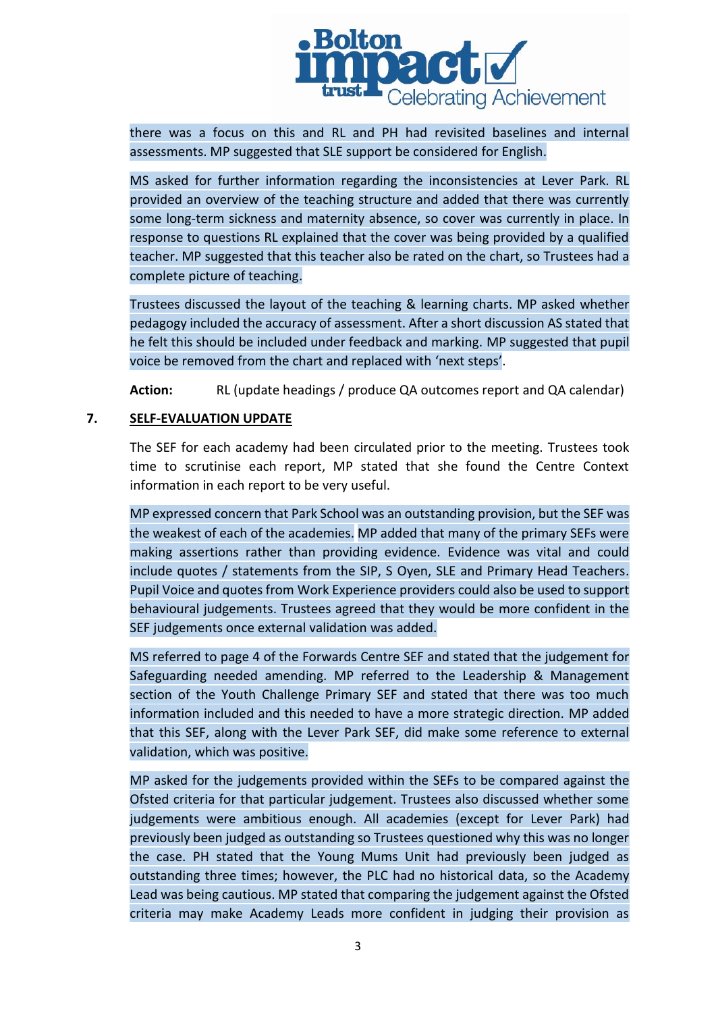

there was a focus on this and RL and PH had revisited baselines and internal assessments. MP suggested that SLE support be considered for English.

MS asked for further information regarding the inconsistencies at Lever Park. RL provided an overview of the teaching structure and added that there was currently some long-term sickness and maternity absence, so cover was currently in place. In response to questions RL explained that the cover was being provided by a qualified teacher. MP suggested that this teacher also be rated on the chart, so Trustees had a complete picture of teaching.

Trustees discussed the layout of the teaching & learning charts. MP asked whether pedagogy included the accuracy of assessment. After a short discussion AS stated that he felt this should be included under feedback and marking. MP suggested that pupil voice be removed from the chart and replaced with 'next steps'.

**Action:** RL (update headings / produce QA outcomes report and QA calendar)

# **7. SELF-EVALUATION UPDATE**

The SEF for each academy had been circulated prior to the meeting. Trustees took time to scrutinise each report, MP stated that she found the Centre Context information in each report to be very useful.

MP expressed concern that Park School was an outstanding provision, but the SEF was the weakest of each of the academies. MP added that many of the primary SEFs were making assertions rather than providing evidence. Evidence was vital and could include quotes / statements from the SIP, S Oyen, SLE and Primary Head Teachers. Pupil Voice and quotes from Work Experience providers could also be used to support behavioural judgements. Trustees agreed that they would be more confident in the SEF judgements once external validation was added.

MS referred to page 4 of the Forwards Centre SEF and stated that the judgement for Safeguarding needed amending. MP referred to the Leadership & Management section of the Youth Challenge Primary SEF and stated that there was too much information included and this needed to have a more strategic direction. MP added that this SEF, along with the Lever Park SEF, did make some reference to external validation, which was positive.

MP asked for the judgements provided within the SEFs to be compared against the Ofsted criteria for that particular judgement. Trustees also discussed whether some judgements were ambitious enough. All academies (except for Lever Park) had previously been judged as outstanding so Trustees questioned why this was no longer the case. PH stated that the Young Mums Unit had previously been judged as outstanding three times; however, the PLC had no historical data, so the Academy Lead was being cautious. MP stated that comparing the judgement against the Ofsted criteria may make Academy Leads more confident in judging their provision as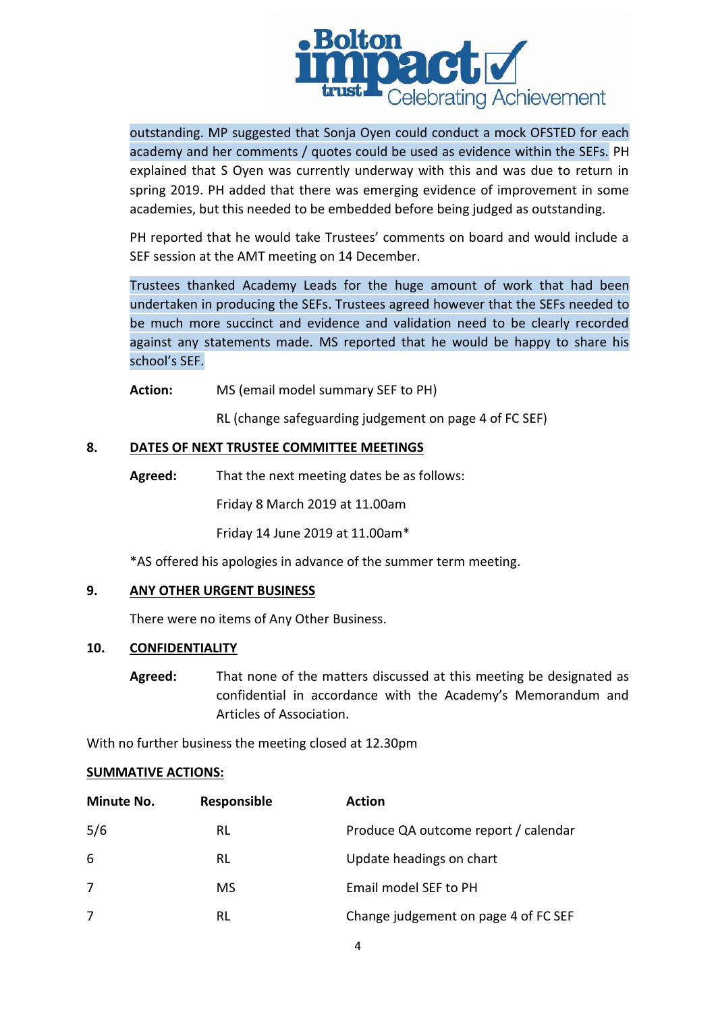

outstanding. MP suggested that Sonja Oyen could conduct a mock OFSTED for each academy and her comments / quotes could be used as evidence within the SEFs. PH explained that S Oyen was currently underway with this and was due to return in spring 2019. PH added that there was emerging evidence of improvement in some academies, but this needed to be embedded before being judged as outstanding.

PH reported that he would take Trustees' comments on board and would include a SEF session at the AMT meeting on 14 December.

Trustees thanked Academy Leads for the huge amount of work that had been undertaken in producing the SEFs. Trustees agreed however that the SEFs needed to be much more succinct and evidence and validation need to be clearly recorded against any statements made. MS reported that he would be happy to share his school's SEF.

**Action:** MS (email model summary SEF to PH)

RL (change safeguarding judgement on page 4 of FC SEF)

# **8. DATES OF NEXT TRUSTEE COMMITTEE MEETINGS**

**Agreed:** That the next meeting dates be as follows:

Friday 8 March 2019 at 11.00am

Friday 14 June 2019 at 11.00am\*

\*AS offered his apologies in advance of the summer term meeting.

#### **9. ANY OTHER URGENT BUSINESS**

There were no items of Any Other Business.

#### **10. CONFIDENTIALITY**

**Agreed:** That none of the matters discussed at this meeting be designated as confidential in accordance with the Academy's Memorandum and Articles of Association.

With no further business the meeting closed at 12.30pm

#### **SUMMATIVE ACTIONS:**

| <b>Minute No.</b> | Responsible | <b>Action</b>                        |
|-------------------|-------------|--------------------------------------|
| 5/6               | RL          | Produce QA outcome report / calendar |
| 6                 | RL          | Update headings on chart             |
| 7                 | MS.         | Email model SEF to PH                |
| 7                 | RL          | Change judgement on page 4 of FC SEF |